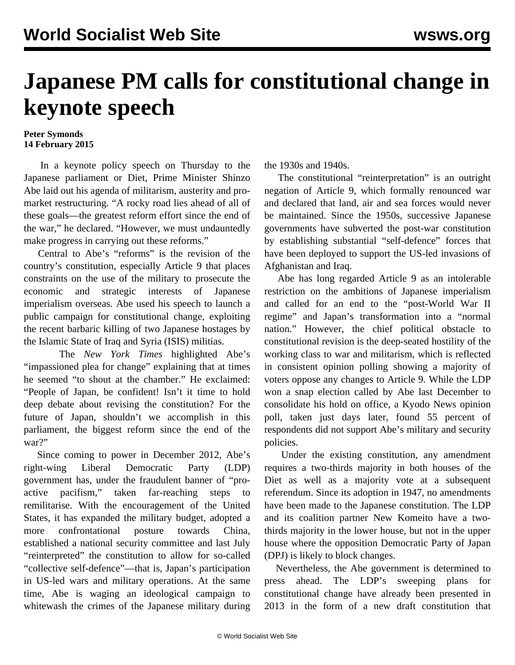## **Japanese PM calls for constitutional change in keynote speech**

## **Peter Symonds 14 February 2015**

 In a keynote policy speech on Thursday to the Japanese parliament or Diet, Prime Minister Shinzo Abe laid out his agenda of militarism, austerity and promarket restructuring. "A rocky road lies ahead of all of these goals—the greatest reform effort since the end of the war," he declared. "However, we must undauntedly make progress in carrying out these reforms."

 Central to Abe's "reforms" is the revision of the country's constitution, especially Article 9 that places constraints on the use of the military to prosecute the economic and strategic interests of Japanese imperialism overseas. Abe used his speech to launch a public campaign for constitutional change, exploiting the recent barbaric killing of two Japanese hostages by the Islamic State of Iraq and Syria (ISIS) militias.

 The *New York Times* highlighted Abe's "impassioned plea for change" explaining that at times he seemed "to shout at the chamber." He exclaimed: "People of Japan, be confident! Isn't it time to hold deep debate about revising the constitution? For the future of Japan, shouldn't we accomplish in this parliament, the biggest reform since the end of the war?"

 Since coming to power in December 2012, Abe's right-wing Liberal Democratic Party (LDP) government has, under the fraudulent banner of "proactive pacifism," taken far-reaching steps to remilitarise. With the encouragement of the United States, it has expanded the military budget, adopted a more confrontational posture towards China, established a national security committee and last July "reinterpreted" the constitution to allow for so-called "collective self-defence"—that is, Japan's participation in US-led wars and military operations. At the same time, Abe is waging an ideological campaign to whitewash the crimes of the Japanese military during

the 1930s and 1940s.

 The constitutional "reinterpretation" is an outright negation of Article 9, which formally renounced war and declared that land, air and sea forces would never be maintained. Since the 1950s, successive Japanese governments have subverted the post-war constitution by establishing substantial "self-defence" forces that have been deployed to support the US-led invasions of Afghanistan and Iraq.

 Abe has long regarded Article 9 as an intolerable restriction on the ambitions of Japanese imperialism and called for an end to the "post-World War II regime" and Japan's transformation into a "normal nation." However, the chief political obstacle to constitutional revision is the deep-seated hostility of the working class to war and militarism, which is reflected in consistent opinion polling showing a majority of voters oppose any changes to Article 9. While the LDP won a snap election called by Abe last December to consolidate his hold on office, a Kyodo News opinion poll, taken just days later, found 55 percent of respondents did not support Abe's military and security policies.

 Under the existing constitution, any amendment requires a two-thirds majority in both houses of the Diet as well as a majority vote at a subsequent referendum. Since its adoption in 1947, no amendments have been made to the Japanese constitution. The LDP and its coalition partner New Komeito have a twothirds majority in the lower house, but not in the upper house where the opposition Democratic Party of Japan (DPJ) is likely to block changes.

 Nevertheless, the Abe government is determined to press ahead. The LDP's sweeping plans for constitutional change have already been presented in 2013 in the form of a new draft constitution that